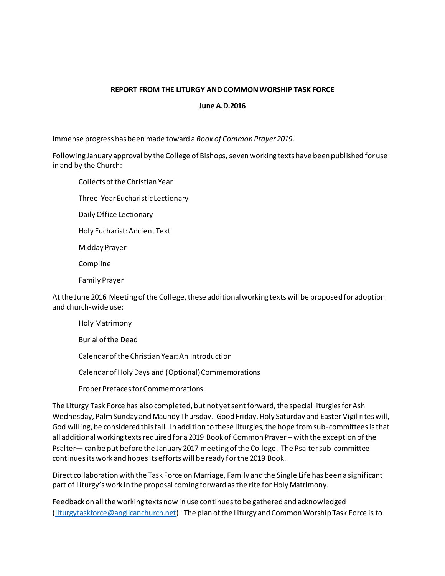## **REPORT FROM THE LITURGY AND COMMON WORSHIP TASK FORCE**

## **June A.D.2016**

Immense progress has been made toward a *Book of Common Prayer 2019*.

Following January approval by the College of Bishops, seven working texts have been published for use in and by the Church:

Collects of the Christian Year

Three-Year Eucharistic Lectionary

Daily Office Lectionary

Holy Eucharist: Ancient Text

Midday Prayer

Compline

Family Prayer

At the June 2016 Meeting of the College, these additional working texts will be proposed for adoption and church-wide use:

Holy Matrimony Burial of the Dead Calendar of the Christian Year: An Introduction Calendar of Holy Days and (Optional) Commemorations

Proper Prefaces for Commemorations

The Liturgy Task Force has also completed, but not yet sent forward, the special liturgies for Ash Wednesday, Palm Sunday and Maundy Thursday. Good Friday, Holy Saturday and Easter Vigil rites will, God willing, be considered this fall. In addition to these liturgies, the hope from sub-committees isthat all additional working texts required for a 2019 Book of Common Prayer – with the exception of the Psalter— can be put before the January 2017 meeting of the College. The Psalter sub-committee continues its work and hopes its efforts will be ready for the 2019 Book.

Direct collaboration with the Task Force on Marriage, Family and the Single Life has been a significant part of Liturgy's work in the proposal coming forward as the rite for Holy Matrimony.

Feedback on all the working texts now in use continues to be gathered and acknowledged [\(liturgytaskforce@anglicanchurch.net](mailto:liturgytaskforce@anglicanchurch.net)). The plan of the Liturgy and Common Worship Task Force is to